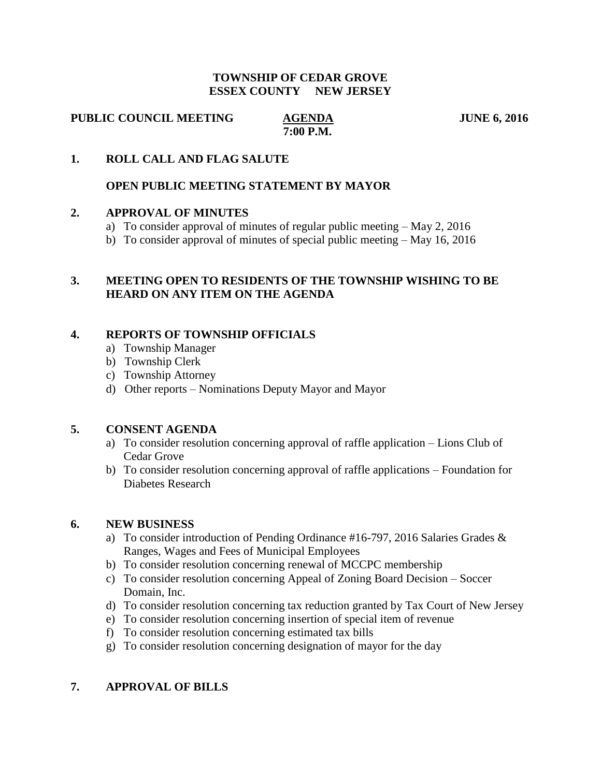#### **TOWNSHIP OF CEDAR GROVE ESSEX COUNTY NEW JERSEY**

**PUBLIC COUNCIL MEETING AGENDA JUNE 6, 2016** 

 **7:00 P.M.**

## **1. ROLL CALL AND FLAG SALUTE**

## **OPEN PUBLIC MEETING STATEMENT BY MAYOR**

#### **2. APPROVAL OF MINUTES**

- a) To consider approval of minutes of regular public meeting May 2, 2016
- b) To consider approval of minutes of special public meeting May 16, 2016

## **3. MEETING OPEN TO RESIDENTS OF THE TOWNSHIP WISHING TO BE HEARD ON ANY ITEM ON THE AGENDA**

## **4. REPORTS OF TOWNSHIP OFFICIALS**

- a) Township Manager
- b) Township Clerk
- c) Township Attorney
- d) Other reports Nominations Deputy Mayor and Mayor

#### **5. CONSENT AGENDA**

- a) To consider resolution concerning approval of raffle application Lions Club of Cedar Grove
- b) To consider resolution concerning approval of raffle applications Foundation for Diabetes Research

#### **6. NEW BUSINESS**

- a) To consider introduction of Pending Ordinance #16-797, 2016 Salaries Grades & Ranges, Wages and Fees of Municipal Employees
- b) To consider resolution concerning renewal of MCCPC membership
- c) To consider resolution concerning Appeal of Zoning Board Decision Soccer Domain, Inc.
- d) To consider resolution concerning tax reduction granted by Tax Court of New Jersey
- e) To consider resolution concerning insertion of special item of revenue
- f) To consider resolution concerning estimated tax bills
- g) To consider resolution concerning designation of mayor for the day

#### **7. APPROVAL OF BILLS**